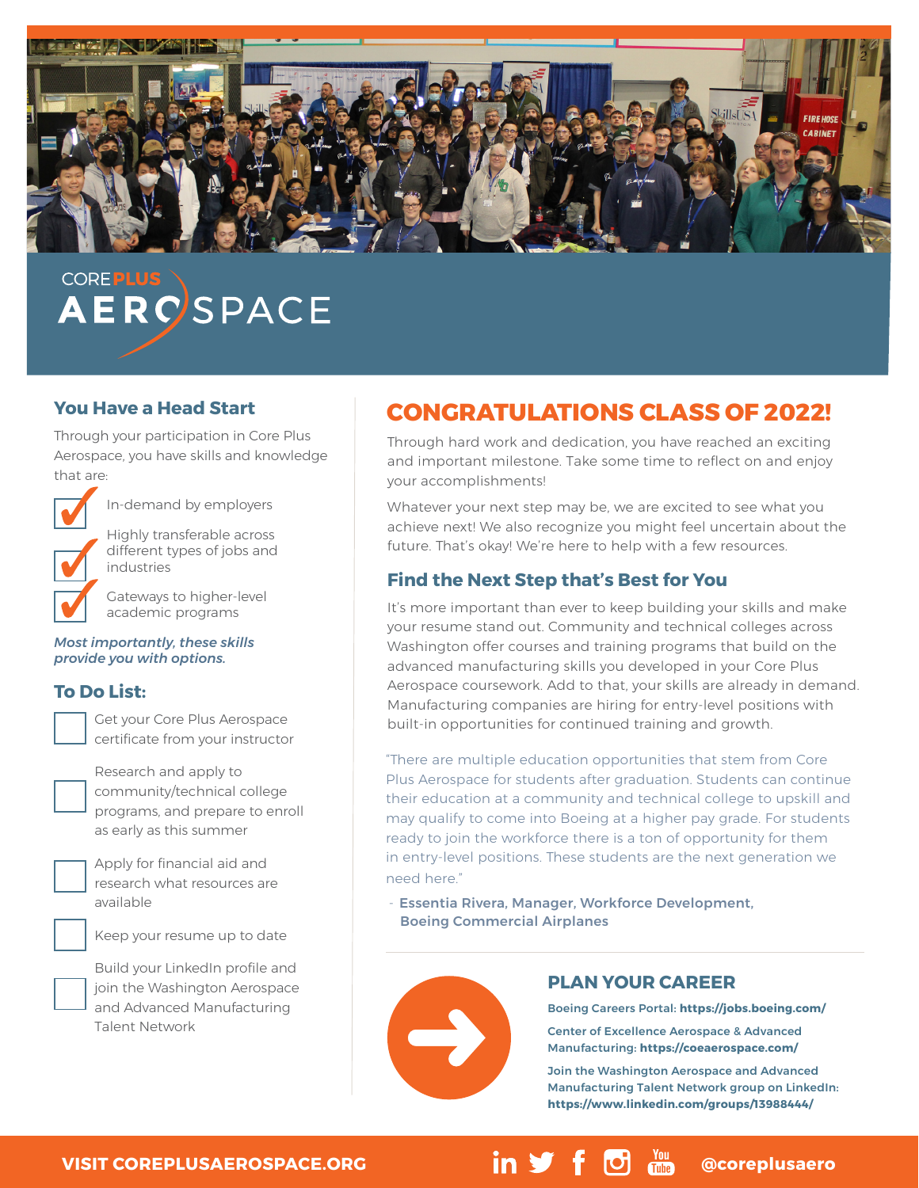

# **COREPLUS AERC**SPACE

### **You Have a Head Start**

Through your participation in Core Plus Aerospace, you have skills and knowledge that are:



In-demand by employers

Highly transferable across different types of jobs and industries

Gateways to higher-level academic programs

*Most importantly, these skills provide you with options.*

## **To Do List:**

Get your Core Plus Aerospace certificate from your instructor

Research and apply to community/technical college programs, and prepare to enroll as early as this summer

Apply for financial aid and research what resources are available

Keep your resume up to date

Build your LinkedIn profile and join the Washington Aerospace and Advanced Manufacturing Talent Network

## **CONGRATULATIONS CLASS OF 2022!**

Through hard work and dedication, you have reached an exciting and important milestone. Take some time to reflect on and enjoy your accomplishments!

Whatever your next step may be, we are excited to see what you achieve next! We also recognize you might feel uncertain about the future. That's okay! We're here to help with a few resources.

## **Find the Next Step that's Best for You**

It's more important than ever to keep building your skills and make your resume stand out. Community and technical colleges across Washington offer courses and training programs that build on the advanced manufacturing skills you developed in your Core Plus Aerospace coursework. Add to that, your skills are already in demand. Manufacturing companies are hiring for entry-level positions with built-in opportunities for continued training and growth.

"There are multiple education opportunities that stem from Core Plus Aerospace for students after graduation. Students can continue their education at a community and technical college to upskill and may qualify to come into Boeing at a higher pay grade. For students ready to join the workforce there is a ton of opportunity for them in entry-level positions. These students are the next generation we need here."

- Essentia Rivera, Manager, Workforce Development, Boeing Commercial Airplanes



### **PLAN YOUR CAREER**

[Boeing Careers Portal](https://jobs.boeing.com/): **<https://jobs.boeing.com/>**

[Center of Excellence Aerospace & Advanced](https://coeaerospace.com/)  [Manufacturing:](https://coeaerospace.com/) **https://coeaerospace.com/**

[Join the Washington Aerospace and Advanced](https://www.linkedin.com/groups/13988444/)  [Manufacturing Talent Network group on LinkedIn](https://www.linkedin.com/groups/13988444/): **https://www.linkedin.com/groups/13988444/** 

## **[VISIT COREPLUSAEROSPACE.ORG](http://coreplusaerospace.org) and in**  $\mathbf{y}$  **f**  $\mathbf{\Theta}$  **and** @coreplusaero